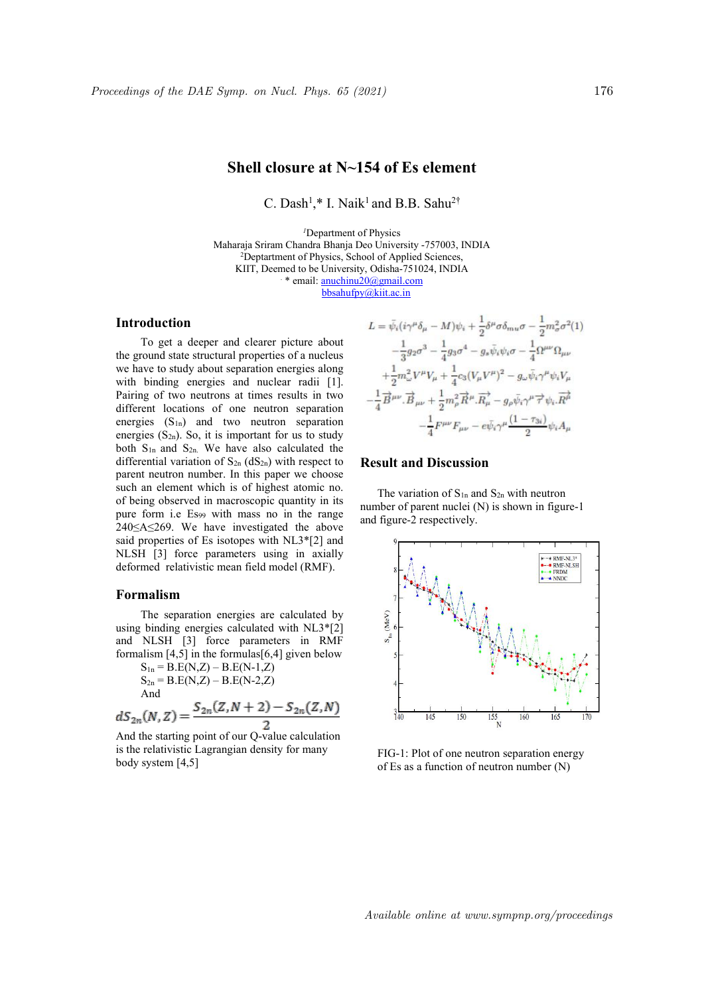# **Shell closure at N~154 of Es element**

C. Dash<sup>1</sup>,\* I. Naik<sup>1</sup> and B.B. Sahu<sup>2†</sup>

*<sup>1</sup>*Department of Physics Maharaja Sriram Chandra Bhanja Deo University -757003, INDIA <sup>2</sup>Deptartment of Physics, School of Applied Sciences, KIIT, Deemed to be University, Odisha-751024, INDIA . \* email: anuchinu20@gmail.com bbsahufpy@kiit.ac.in

## **Introduction**

To get a deeper and clearer picture about the ground state structural properties of a nucleus we have to study about separation energies along with binding energies and nuclear radii [1]. Pairing of two neutrons at times results in two different locations of one neutron separation energies  $(S_{1n})$  and two neutron separation energies  $(S_{2n})$ . So, it is important for us to study both  $S_{1n}$  and  $S_{2n}$ . We have also calculated the differential variation of  $S_{2n}$  (d $S_{2n}$ ) with respect to parent neutron number. In this paper we choose such an element which is of highest atomic no. of being observed in macroscopic quantity in its pure form i.e Es<sup>99</sup> with mass no in the range 240≤A≤269. We have investigated the above said properties of Es isotopes with NL3\*[2] and NLSH [3] force parameters using in axially deformed relativistic mean field model (RMF).

#### **Formalism**

The separation energies are calculated by  $\begin{array}{c} \gtrsim \\ \gtrsim \end{array}$ using binding energies calculated with NL3\*[2] and NLSH [3] force parameters in RMF formalism  $[4,5]$  in the formulas $[6,4]$  given below

$$
S_{1n} = B.E(N,Z) - B.E(N-1,Z)
$$
  
\n
$$
S_{2n} = B.E(N,Z) - B.E(N-2,Z)
$$
  
\nAnd

 $dS_{2n}(N, Z) = \frac{S_{2n}(Z, N + 2) - S_{2n}(Z, N)}{2}$ <br>And the starting point of our Q-value calculation

is the relativistic Lagrangian density for many body system [4,5]

$$
L = \bar{\psi}_i (i\gamma^\mu \delta_\mu - M)\psi_i + \frac{1}{2}\delta^\mu \sigma \delta_{mu} \sigma - \frac{1}{2}m_\sigma^2 \sigma^2(1)
$$
  

$$
-\frac{1}{3}g_2 \sigma^3 - \frac{1}{4}g_3 \sigma^4 - g_s \bar{\psi}_i \psi_i \sigma - \frac{1}{4} \Omega^{\mu\nu} \Omega_{\mu\nu}
$$
  

$$
+\frac{1}{2}m_\omega^2 V^\mu V_\mu + \frac{1}{4}c_3 (V_\mu V^\mu)^2 - g_\omega \bar{\psi}_i \gamma^\mu \psi_i V_\mu
$$
  

$$
-\frac{1}{4} \overrightarrow{B}^{\mu\nu} \cdot \overrightarrow{B}_{\mu\nu} + \frac{1}{2}m_\rho^2 \overrightarrow{R}^\mu \cdot \overrightarrow{R}_\mu - g_\rho \bar{\psi}_i \gamma^\mu \overrightarrow{\tau} \psi_i \cdot \overrightarrow{R}^\mu
$$
  

$$
-\frac{1}{4} F^{\mu\nu} F_{\mu\nu} - e \bar{\psi}_i \gamma^\mu \frac{(1 - \tau_{3i})}{2} \psi_i A_\mu
$$

### **Result and Discussion**

The variation of  $S_{1n}$  and  $S_{2n}$  with neutron number of parent nuclei (N) is shown in figure-1 and figure-2 respectively.



FIG-1: Plot of one neutron separation energy of Es as a function of neutron number(N)